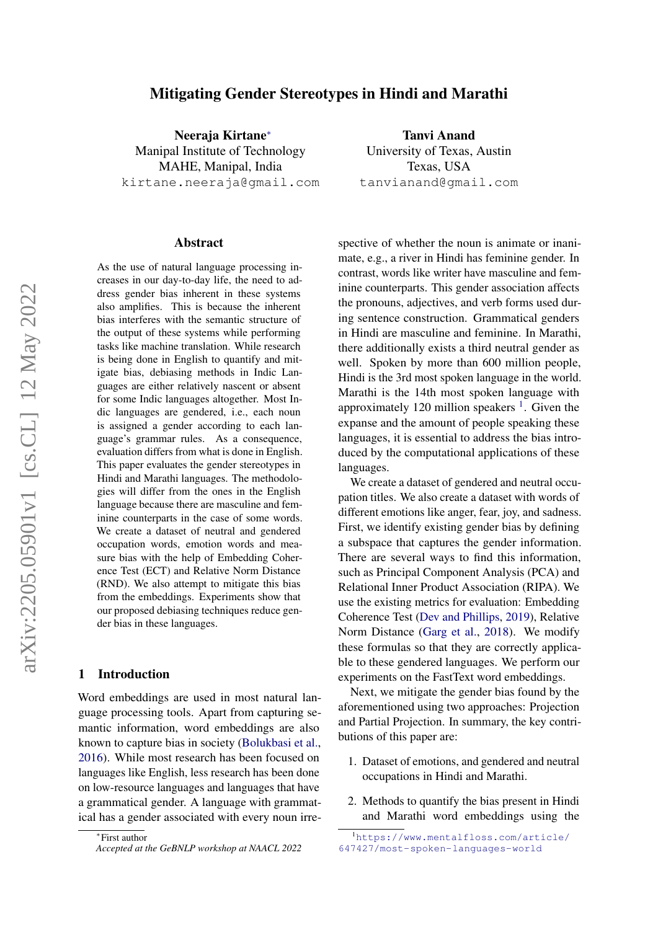# Mitigating Gender Stereotypes in Hindi and Marathi

Neeraja Kirtane<sup>∗</sup> Manipal Institute of Technology MAHE, Manipal, India kirtane.neeraja@gmail.com

#### Abstract

As the use of natural language processing increases in our day-to-day life, the need to address gender bias inherent in these systems also amplifies. This is because the inherent bias interferes with the semantic structure of the output of these systems while performing tasks like machine translation. While research is being done in English to quantify and mitigate bias, debiasing methods in Indic Languages are either relatively nascent or absent for some Indic languages altogether. Most Indic languages are gendered, i.e., each noun is assigned a gender according to each language's grammar rules. As a consequence, evaluation differs from what is done in English. This paper evaluates the gender stereotypes in Hindi and Marathi languages. The methodologies will differ from the ones in the English language because there are masculine and feminine counterparts in the case of some words. We create a dataset of neutral and gendered occupation words, emotion words and measure bias with the help of Embedding Coherence Test (ECT) and Relative Norm Distance (RND). We also attempt to mitigate this bias from the embeddings. Experiments show that our proposed debiasing techniques reduce gender bias in these languages.

### 1 Introduction

Word embeddings are used in most natural language processing tools. Apart from capturing semantic information, word embeddings are also known to capture bias in society [\(Bolukbasi et al.,](#page-5-0) [2016\)](#page-5-0). While most research has been focused on languages like English, less research has been done on low-resource languages and languages that have a grammatical gender. A language with grammatical has a gender associated with every noun irre-

Tanvi Anand University of Texas, Austin Texas, USA tanvianand@gmail.com

spective of whether the noun is animate or inanimate, e.g., a river in Hindi has feminine gender. In contrast, words like writer have masculine and feminine counterparts. This gender association affects the pronouns, adjectives, and verb forms used during sentence construction. Grammatical genders in Hindi are masculine and feminine. In Marathi, there additionally exists a third neutral gender as well. Spoken by more than 600 million people, Hindi is the 3rd most spoken language in the world. Marathi is the 14th most spoken language with approximately [1](#page-0-0)20 million speakers  $<sup>1</sup>$ . Given the</sup> expanse and the amount of people speaking these languages, it is essential to address the bias introduced by the computational applications of these languages.

We create a dataset of gendered and neutral occupation titles. We also create a dataset with words of different emotions like anger, fear, joy, and sadness. First, we identify existing gender bias by defining a subspace that captures the gender information. There are several ways to find this information, such as Principal Component Analysis (PCA) and Relational Inner Product Association (RIPA). We use the existing metrics for evaluation: Embedding Coherence Test [\(Dev and Phillips,](#page-5-1) [2019\)](#page-5-1), Relative Norm Distance [\(Garg et al.,](#page-5-2) [2018\)](#page-5-2). We modify these formulas so that they are correctly applicable to these gendered languages. We perform our experiments on the FastText word embeddings.

Next, we mitigate the gender bias found by the aforementioned using two approaches: Projection and Partial Projection. In summary, the key contributions of this paper are:

- 1. Dataset of emotions, and gendered and neutral occupations in Hindi and Marathi.
- 2. Methods to quantify the bias present in Hindi and Marathi word embeddings using the

<sup>∗</sup> First author *Accepted at the GeBNLP workshop at NAACL 2022*

<span id="page-0-0"></span><sup>1</sup>[https://www.mentalfloss.com/article/](https://www.mentalfloss.com/article/647427/most-spoken-languages-world) [647427/most-spoken-languages-world](https://www.mentalfloss.com/article/647427/most-spoken-languages-world)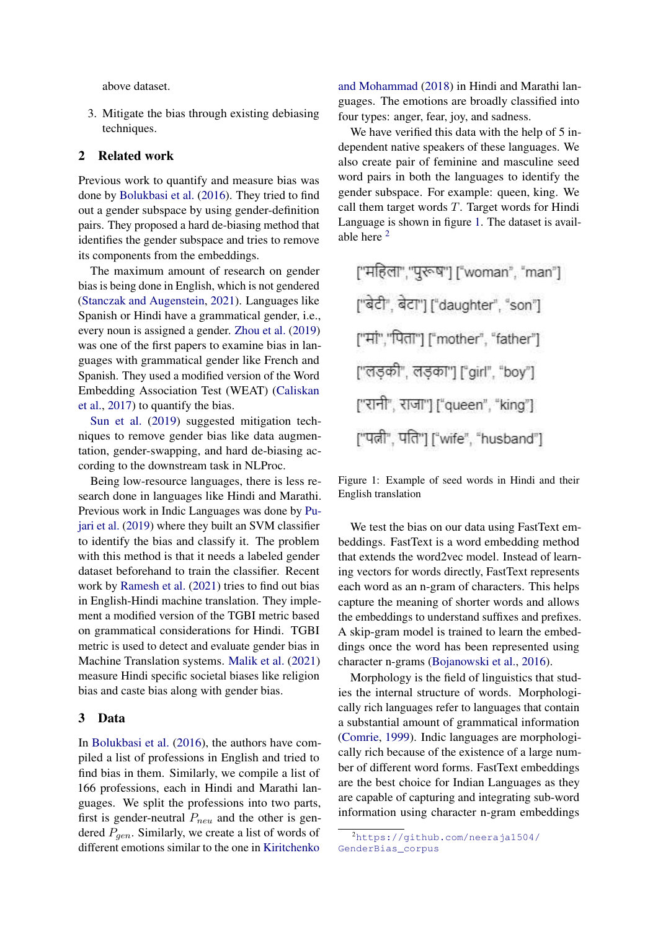above dataset.

3. Mitigate the bias through existing debiasing techniques.

# 2 Related work

Previous work to quantify and measure bias was done by [Bolukbasi et al.](#page-5-0) [\(2016\)](#page-5-0). They tried to find out a gender subspace by using gender-definition pairs. They proposed a hard de-biasing method that identifies the gender subspace and tries to remove its components from the embeddings.

The maximum amount of research on gender bias is being done in English, which is not gendered [\(Stanczak and Augenstein,](#page-5-3) [2021\)](#page-5-3). Languages like Spanish or Hindi have a grammatical gender, i.e., every noun is assigned a gender. [Zhou et al.](#page-5-4) [\(2019\)](#page-5-4) was one of the first papers to examine bias in languages with grammatical gender like French and Spanish. They used a modified version of the Word Embedding Association Test (WEAT) [\(Caliskan](#page-5-5) [et al.,](#page-5-5) [2017\)](#page-5-5) to quantify the bias.

[Sun et al.](#page-5-6) [\(2019\)](#page-5-6) suggested mitigation techniques to remove gender bias like data augmentation, gender-swapping, and hard de-biasing according to the downstream task in NLProc.

Being low-resource languages, there is less research done in languages like Hindi and Marathi. Previous work in Indic Languages was done by [Pu](#page-5-7)[jari et al.](#page-5-7) [\(2019\)](#page-5-7) where they built an SVM classifier to identify the bias and classify it. The problem with this method is that it needs a labeled gender dataset beforehand to train the classifier. Recent work by [Ramesh et al.](#page-5-8) [\(2021\)](#page-5-8) tries to find out bias in English-Hindi machine translation. They implement a modified version of the TGBI metric based on grammatical considerations for Hindi. TGBI metric is used to detect and evaluate gender bias in Machine Translation systems. [Malik et al.](#page-5-9) [\(2021\)](#page-5-9) measure Hindi specific societal biases like religion bias and caste bias along with gender bias.

### 3 Data

In [Bolukbasi et al.](#page-5-0) [\(2016\)](#page-5-0), the authors have compiled a list of professions in English and tried to find bias in them. Similarly, we compile a list of 166 professions, each in Hindi and Marathi languages. We split the professions into two parts, first is gender-neutral  $P_{neu}$  and the other is gendered  $P_{gen}$ . Similarly, we create a list of words of different emotions similar to the one in [Kiritchenko](#page-5-10)

[and Mohammad](#page-5-10) [\(2018\)](#page-5-10) in Hindi and Marathi languages. The emotions are broadly classified into four types: anger, fear, joy, and sadness.

We have verified this data with the help of 5 independent native speakers of these languages. We also create pair of feminine and masculine seed word pairs in both the languages to identify the gender subspace. For example: queen, king. We call them target words  $T$ . Target words for Hindi Language is shown in figure [1.](#page-1-0) The dataset is available here [2](#page-1-1)

<span id="page-1-0"></span>

Figure 1: Example of seed words in Hindi and their English translation

We test the bias on our data using FastText embeddings. FastText is a word embedding method that extends the word2vec model. Instead of learning vectors for words directly, FastText represents each word as an n-gram of characters. This helps capture the meaning of shorter words and allows the embeddings to understand suffixes and prefixes. A skip-gram model is trained to learn the embeddings once the word has been represented using character n-grams [\(Bojanowski et al.,](#page-5-11) [2016\)](#page-5-11).

Morphology is the field of linguistics that studies the internal structure of words. Morphologically rich languages refer to languages that contain a substantial amount of grammatical information [\(Comrie,](#page-5-12) [1999\)](#page-5-12). Indic languages are morphologically rich because of the existence of a large number of different word forms. FastText embeddings are the best choice for Indian Languages as they are capable of capturing and integrating sub-word information using character n-gram embeddings

<span id="page-1-1"></span><sup>2</sup>[https://github.com/neeraja1504/](https://github.com/neeraja1504/GenderBias_corpus) [GenderBias\\_corpus](https://github.com/neeraja1504/GenderBias_corpus)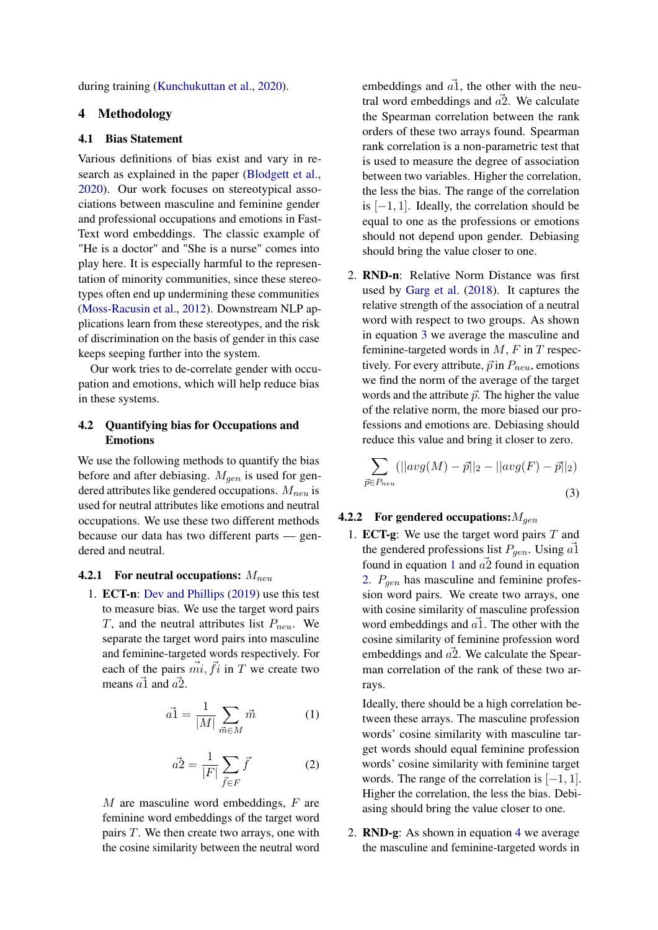during training [\(Kunchukuttan et al.,](#page-5-13) [2020\)](#page-5-13).

# 4 Methodology

# 4.1 Bias Statement

Various definitions of bias exist and vary in research as explained in the paper [\(Blodgett et al.,](#page-4-0) [2020\)](#page-4-0). Our work focuses on stereotypical associations between masculine and feminine gender and professional occupations and emotions in Fast-Text word embeddings. The classic example of "He is a doctor" and "She is a nurse" comes into play here. It is especially harmful to the representation of minority communities, since these stereotypes often end up undermining these communities [\(Moss-Racusin et al.,](#page-5-14) [2012\)](#page-5-14). Downstream NLP applications learn from these stereotypes, and the risk of discrimination on the basis of gender in this case keeps seeping further into the system.

Our work tries to de-correlate gender with occupation and emotions, which will help reduce bias in these systems.

# 4.2 Quantifying bias for Occupations and Emotions

We use the following methods to quantify the bias before and after debiasing.  $M_{gen}$  is used for gendered attributes like gendered occupations.  $M_{neu}$  is used for neutral attributes like emotions and neutral occupations. We use these two different methods because our data has two different parts — gendered and neutral.

#### **4.2.1 For neutral occupations:**  $M_{neu}$

1. ECT-n: [Dev and Phillips](#page-5-1) [\(2019\)](#page-5-1) use this test to measure bias. We use the target word pairs T, and the neutral attributes list  $P_{neu}$ . We separate the target word pairs into masculine and feminine-targeted words respectively. For each of the pairs  $\vec{mi}$ ,  $\vec{fi}$  in T we create two means  $\vec{a}$  and  $\vec{a}$ .

<span id="page-2-1"></span>
$$
\vec{a1} = \frac{1}{|M|} \sum_{\vec{m} \in M} \vec{m} \tag{1}
$$

$$
\vec{a2} = \frac{1}{|F|} \sum_{\vec{f} \in F} \vec{f} \tag{2}
$$

<span id="page-2-2"></span> $M$  are masculine word embeddings,  $F$  are feminine word embeddings of the target word pairs T. We then create two arrays, one with the cosine similarity between the neutral word embeddings and  $\vec{a}$ , the other with the neutral word embeddings and  $\vec{a2}$ . We calculate the Spearman correlation between the rank orders of these two arrays found. Spearman rank correlation is a non-parametric test that is used to measure the degree of association between two variables. Higher the correlation, the less the bias. The range of the correlation is  $[-1, 1]$ . Ideally, the correlation should be equal to one as the professions or emotions should not depend upon gender. Debiasing should bring the value closer to one.

2. RND-n: Relative Norm Distance was first used by [Garg et al.](#page-5-2) [\(2018\)](#page-5-2). It captures the relative strength of the association of a neutral word with respect to two groups. As shown in equation [3](#page-2-0) we average the masculine and feminine-targeted words in  $M$ ,  $F$  in  $T$  respectively. For every attribute,  $\vec{p}$  in  $P_{neu}$ , emotions we find the norm of the average of the target words and the attribute  $\vec{p}$ . The higher the value of the relative norm, the more biased our professions and emotions are. Debiasing should reduce this value and bring it closer to zero.

<span id="page-2-0"></span>
$$
\sum_{\vec{p} \in P_{neu}} (||avg(M) - \vec{p}||_2 - ||avg(F) - \vec{p}||_2)
$$
\n(3)

#### **4.2.2** For gendered occupations:  $M_{gen}$

1. **ECT-g**: We use the target word pairs  $T$  and the gendered professions list  $P_{gen}$ . Using  $\vec{a}$ 1 found in equation [1](#page-2-1) and  $a\overline{2}$  found in equation [2.](#page-2-2)  $P_{gen}$  has masculine and feminine profession word pairs. We create two arrays, one with cosine similarity of masculine profession word embeddings and  $\vec{a}$ . The other with the cosine similarity of feminine profession word embeddings and  $\vec{a2}$ . We calculate the Spearman correlation of the rank of these two arrays.

Ideally, there should be a high correlation between these arrays. The masculine profession words' cosine similarity with masculine target words should equal feminine profession words' cosine similarity with feminine target words. The range of the correlation is  $[-1, 1]$ . Higher the correlation, the less the bias. Debiasing should bring the value closer to one.

2. RND-g: As shown in equation [4](#page-3-0) we average the masculine and feminine-targeted words in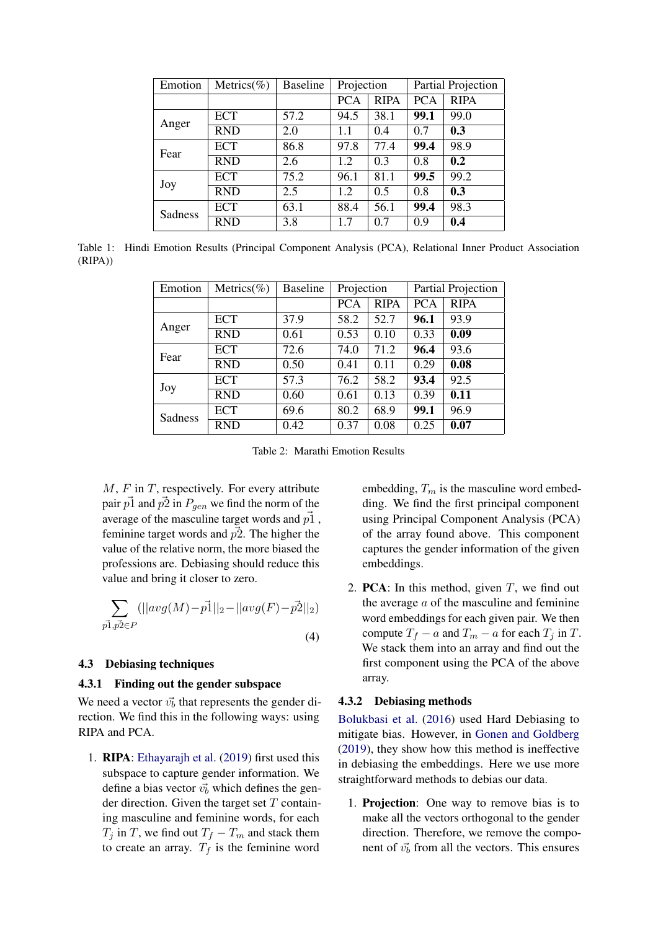<span id="page-3-1"></span>

| Emotion        | Metrics(%) | <b>Baseline</b> | Projection |             | Partial Projection |             |
|----------------|------------|-----------------|------------|-------------|--------------------|-------------|
|                |            |                 | <b>PCA</b> | <b>RIPA</b> | <b>PCA</b>         | <b>RIPA</b> |
| Anger          | ECT        | 57.2            | 94.5       | 38.1        | 99.1               | 99.0        |
|                | <b>RND</b> | 2.0             | 1.1        | 0.4         | 0.7                | 0.3         |
| Fear           | <b>ECT</b> | 86.8            | 97.8       | 77.4        | 99.4               | 98.9        |
|                | <b>RND</b> | 2.6             | 1.2        | 0.3         | 0.8                | 0.2         |
| Joy            | <b>ECT</b> | 75.2            | 96.1       | 81.1        | 99.5               | 99.2        |
|                | <b>RND</b> | 2.5             | 1.2        | 0.5         | 0.8                | 0.3         |
| <b>Sadness</b> | <b>ECT</b> | 63.1            | 88.4       | 56.1        | 99.4               | 98.3        |
|                | <b>RND</b> | 3.8             | 1.7        | 0.7         | 0.9                | 0.4         |

<span id="page-3-2"></span>Table 1: Hindi Emotion Results (Principal Component Analysis (PCA), Relational Inner Product Association (RIPA))

| Emotion | Metrics(%) | <b>Baseline</b> | Projection |             | Partial Projection |             |
|---------|------------|-----------------|------------|-------------|--------------------|-------------|
|         |            |                 | <b>PCA</b> | <b>RIPA</b> | <b>PCA</b>         | <b>RIPA</b> |
| Anger   | <b>ECT</b> | 37.9            | 58.2       | 52.7        | 96.1               | 93.9        |
|         | <b>RND</b> | 0.61            | 0.53       | 0.10        | 0.33               | 0.09        |
| Fear    | <b>ECT</b> | 72.6            | 74.0       | 71.2        | 96.4               | 93.6        |
|         | <b>RND</b> | 0.50            | 0.41       | 0.11        | 0.29               | 0.08        |
| Joy     | <b>ECT</b> | 57.3            | 76.2       | 58.2        | 93.4               | 92.5        |
|         | <b>RND</b> | 0.60            | 0.61       | 0.13        | 0.39               | 0.11        |
| Sadness | <b>ECT</b> | 69.6            | 80.2       | 68.9        | 99.1               | 96.9        |
|         | <b>RND</b> | 0.42            | 0.37       | 0.08        | 0.25               | 0.07        |

Table 2: Marathi Emotion Results

 $M, F$  in  $T$ , respectively. For every attribute pair  $\vec{p}$  and  $\vec{p}$  in  $P_{gen}$  we find the norm of the average of the masculine target words and  $\vec{p1}$ , feminine target words and  $\vec{p2}$ . The higher the value of the relative norm, the more biased the professions are. Debiasing should reduce this value and bring it closer to zero.

$$
\sum_{p\vec{1}, p\vec{2}\in P} (||avg(M) - \vec{p1}||_2 - ||avg(F) - \vec{p2}||_2)
$$
\n(4)

### 4.3 Debiasing techniques

### 4.3.1 Finding out the gender subspace

We need a vector  $\vec{v}_b$  that represents the gender direction. We find this in the following ways: using RIPA and PCA.

1. RIPA: [Ethayarajh et al.](#page-5-15) [\(2019\)](#page-5-15) first used this subspace to capture gender information. We define a bias vector  $\vec{v}_b$  which defines the gender direction. Given the target set  $T$  containing masculine and feminine words, for each  $T_j$  in T, we find out  $T_f - T_m$  and stack them to create an array.  $T_f$  is the feminine word

embedding,  $T_m$  is the masculine word embedding. We find the first principal component using Principal Component Analysis (PCA) of the array found above. This component captures the gender information of the given embeddings.

<span id="page-3-0"></span>2. **PCA**: In this method, given  $T$ , we find out the average  $a$  of the masculine and feminine word embeddings for each given pair. We then compute  $T_f - a$  and  $T_m - a$  for each  $T_i$  in T. We stack them into an array and find out the first component using the PCA of the above array.

# 4.3.2 Debiasing methods

[Bolukbasi et al.](#page-5-0) [\(2016\)](#page-5-0) used Hard Debiasing to mitigate bias. However, in [Gonen and Goldberg](#page-5-16) [\(2019\)](#page-5-16), they show how this method is ineffective in debiasing the embeddings. Here we use more straightforward methods to debias our data.

1. Projection: One way to remove bias is to make all the vectors orthogonal to the gender direction. Therefore, we remove the component of  $\vec{v}_b$  from all the vectors. This ensures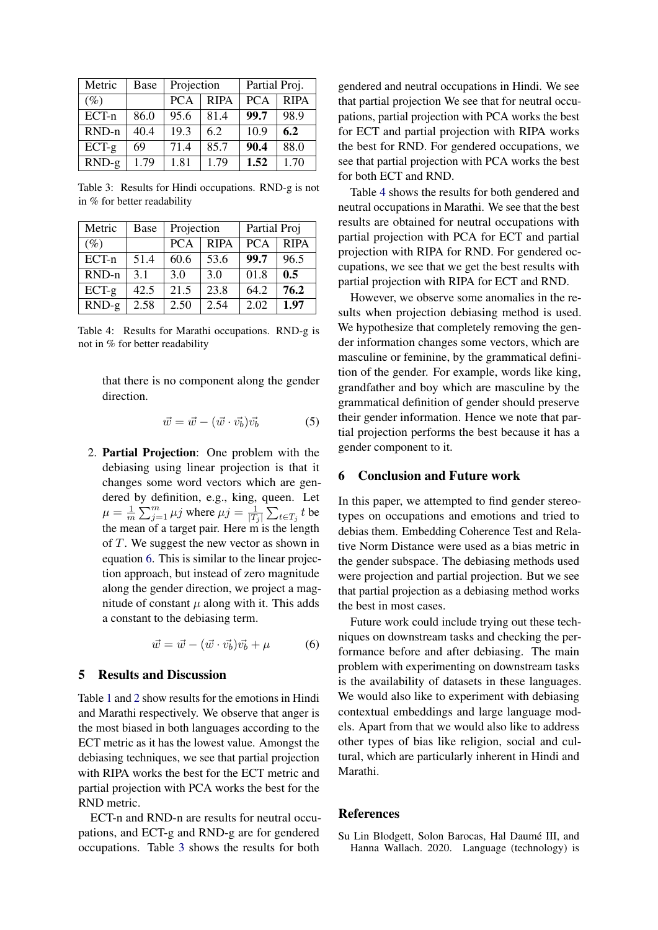<span id="page-4-2"></span>

| Metric  | Base | Projection |             | Partial Proj. |             |
|---------|------|------------|-------------|---------------|-------------|
| $(\%)$  |      | <b>PCA</b> | <b>RIPA</b> | <b>PCA</b>    | <b>RIPA</b> |
| ECT-n   | 86.0 | 95.6       | 81.4        | 99.7          | 98.9        |
| RND-n   | 40.4 | 19.3       | 6.2         | 10.9          | 6.2         |
| $ECT-g$ | 69   | 71.4       | 85.7        | 90.4          | 88.0        |
| $RND-g$ | 1.79 | 1.81       | 1.79        | 1.52          | 1.70        |

Table 3: Results for Hindi occupations. RND-g is not in % for better readability

<span id="page-4-3"></span>

| Metric   | Base | Projection |             | Partial Proj |             |
|----------|------|------------|-------------|--------------|-------------|
| $(\%)$   |      | <b>PCA</b> | <b>RIPA</b> | <b>PCA</b>   | <b>RIPA</b> |
| ECT-n    | 51.4 | 60.6       | 53.6        | 99.7         | 96.5        |
| $RND-n$  | 3.1  | 3.0        | 3.0         | 01.8         | 0.5         |
| $ECT-g $ | 42.5 | 21.5       | 23.8        | 64.2         | 76.2        |
| $RND-g$  | 2.58 | 2.50       | 2.54        | 2.02         | 1.97        |

Table 4: Results for Marathi occupations. RND-g is not in % for better readability

that there is no component along the gender direction.

$$
\vec{w} = \vec{w} - (\vec{w} \cdot \vec{v_b})\vec{v_b}
$$
 (5)

2. Partial Projection: One problem with the debiasing using linear projection is that it changes some word vectors which are gendered by definition, e.g., king, queen. Let  $\mu = \frac{1}{n}$  $\frac{1}{m}\sum_{j=1}^{m}\mu j$  where  $\mu j = \frac{1}{|T|}$  $\frac{1}{|T_j|}\sum_{t\in T_j} t$  be the mean of a target pair. Here m is the length of T. We suggest the new vector as shown in equation [6.](#page-4-1) This is similar to the linear projection approach, but instead of zero magnitude along the gender direction, we project a magnitude of constant  $\mu$  along with it. This adds a constant to the debiasing term.

$$
\vec{w} = \vec{w} - (\vec{w} \cdot \vec{v_b})\vec{v_b} + \mu \tag{6}
$$

# 5 Results and Discussion

Table [1](#page-3-1) and [2](#page-3-2) show results for the emotions in Hindi and Marathi respectively. We observe that anger is the most biased in both languages according to the ECT metric as it has the lowest value. Amongst the debiasing techniques, we see that partial projection with RIPA works the best for the ECT metric and partial projection with PCA works the best for the RND metric.

ECT-n and RND-n are results for neutral occupations, and ECT-g and RND-g are for gendered occupations. Table [3](#page-4-2) shows the results for both

gendered and neutral occupations in Hindi. We see that partial projection We see that for neutral occupations, partial projection with PCA works the best for ECT and partial projection with RIPA works the best for RND. For gendered occupations, we see that partial projection with PCA works the best for both ECT and RND.

Table [4](#page-4-3) shows the results for both gendered and neutral occupations in Marathi. We see that the best results are obtained for neutral occupations with partial projection with PCA for ECT and partial projection with RIPA for RND. For gendered occupations, we see that we get the best results with partial projection with RIPA for ECT and RND.

However, we observe some anomalies in the results when projection debiasing method is used. We hypothesize that completely removing the gender information changes some vectors, which are masculine or feminine, by the grammatical definition of the gender. For example, words like king, grandfather and boy which are masculine by the grammatical definition of gender should preserve their gender information. Hence we note that partial projection performs the best because it has a gender component to it.

# 6 Conclusion and Future work

In this paper, we attempted to find gender stereotypes on occupations and emotions and tried to debias them. Embedding Coherence Test and Relative Norm Distance were used as a bias metric in the gender subspace. The debiasing methods used were projection and partial projection. But we see that partial projection as a debiasing method works the best in most cases.

<span id="page-4-1"></span>Future work could include trying out these techniques on downstream tasks and checking the performance before and after debiasing. The main problem with experimenting on downstream tasks is the availability of datasets in these languages. We would also like to experiment with debiasing contextual embeddings and large language models. Apart from that we would also like to address other types of bias like religion, social and cultural, which are particularly inherent in Hindi and Marathi.

# References

<span id="page-4-0"></span>Su Lin Blodgett, Solon Barocas, Hal Daumé III, and Hanna Wallach. 2020. Language (technology) is